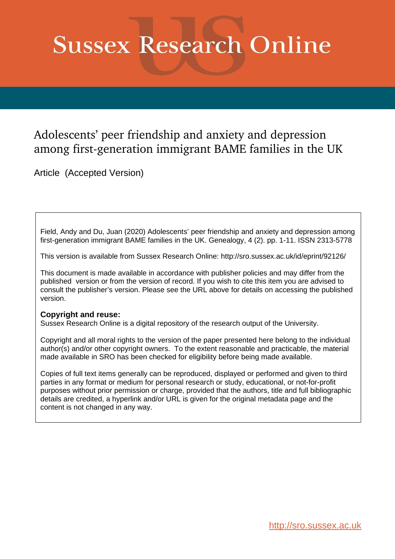# **Sussex Research Online**

## Adolescents' peer friendship and anxiety and depression among first-generation immigrant BAME families in the UK

Article (Accepted Version)

Field, Andy and Du, Juan (2020) Adolescents' peer friendship and anxiety and depression among first-generation immigrant BAME families in the UK. Genealogy, 4 (2). pp. 1-11. ISSN 2313-5778

This version is available from Sussex Research Online: http://sro.sussex.ac.uk/id/eprint/92126/

This document is made available in accordance with publisher policies and may differ from the published version or from the version of record. If you wish to cite this item you are advised to consult the publisher's version. Please see the URL above for details on accessing the published version.

## **Copyright and reuse:**

Sussex Research Online is a digital repository of the research output of the University.

Copyright and all moral rights to the version of the paper presented here belong to the individual author(s) and/or other copyright owners. To the extent reasonable and practicable, the material made available in SRO has been checked for eligibility before being made available.

Copies of full text items generally can be reproduced, displayed or performed and given to third parties in any format or medium for personal research or study, educational, or not-for-profit purposes without prior permission or charge, provided that the authors, title and full bibliographic details are credited, a hyperlink and/or URL is given for the original metadata page and the content is not changed in any way.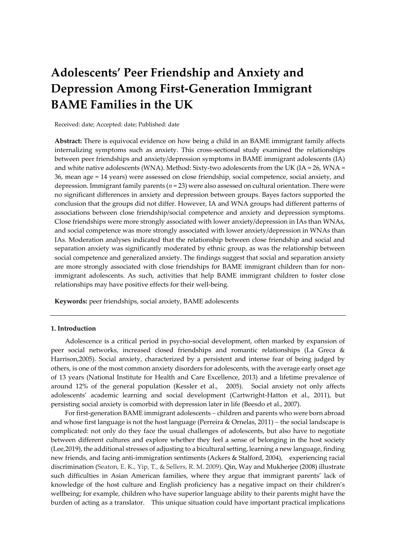# **Adolescents' Peer Friendship and Anxiety and Depression Among First-Generation Immigrant BAME Families in the UK**

Received: date; Accepted: date; Published: date

**Abstract:** There is equivocal evidence on how being a child in an BAME immigrant family affects internalizing symptoms such as anxiety. This cross-sectional study examined the relationships between peer friendships and anxiety/depression symptoms in BAME immigrant adolescents (IA) and white native adolescents (WNA). Method: Sixty-two adolescents from the UK (IA =  $26$ , WNA = 36, mean age = 14 years) were assessed on close friendship, social competence, social anxiety, and depression. Immigrant family parents (*n* = 23) were also assessed on cultural orientation. There were no significant differences in anxiety and depression between groups. Bayes factors supported the conclusion that the groups did not differ. However, IA and WNA groups had different patterns of associations between close friendship/social competence and anxiety and depression symptoms. Close friendships were more strongly associated with lower anxiety/depression in IAs than WNAs, and social competence was more strongly associated with lower anxiety/depression in WNAs than IAs. Moderation analyses indicated that the relationship between close friendship and social and separation anxiety was significantly moderated by ethnic group, as was the relationship between social competence and generalized anxiety. The findings suggest that social and separation anxiety are more strongly associated with close friendships for BAME immigrant children than for nonimmigrant adolescents. As such, activities that help BAME immigrant children to foster close relationships may have positive effects for their well-being.

**Keywords:** peer friendships, social anxiety, BAME adolescents

#### **1. Introduction**

Adolescence is a critical period in psycho-social development, often marked by expansion of peer social networks, increased closed friendships and romantic relationships (La Greca & Harrison,2005). Social anxiety, characterized by a persistent and intense fear of being judged by others, is one of the most common anxiety disorders for adolescents, with the average early onset age of 13 years (National Institute for Health and Care Excellence, 2013) and a lifetime prevalence of around 12% of the general population (Kessler et al., 2005). Social anxiety not only affects adolescents' academic learning and social development (Cartwright-Hatton et al., 2011), but persisting social anxiety is comorbid with depression later in life (Beesdo et al., 2007).

For first-generation BAME immigrant adolescents − children and parents who were born abroad and whose first language is not the host language (Perreira & Ornelas, 2011) − the social landscape is complicated: not only do they face the usual challenges of adolescents, but also have to negotiate between different cultures and explore whether they feel a sense of belonging in the host society (Lee,2019), the additional stresses of adjusting to a bicultural setting, learning a new language, finding new friends, and facing anti-immigration sentiments (Ackers & Stalford, 2004), experiencing racial discrimination (Seaton, E. K., Yip, T., & Sellers, R. M. 2009). Qin, Way and Mukherjee (2008) illustrate such difficulties in Asian American families, where they argue that immigrant parents' lack of knowledge of the host culture and English proficiency has a negative impact on their children's wellbeing; for example, children who have superior language ability to their parents might have the burden of acting as a translator. This unique situation could have important practical implications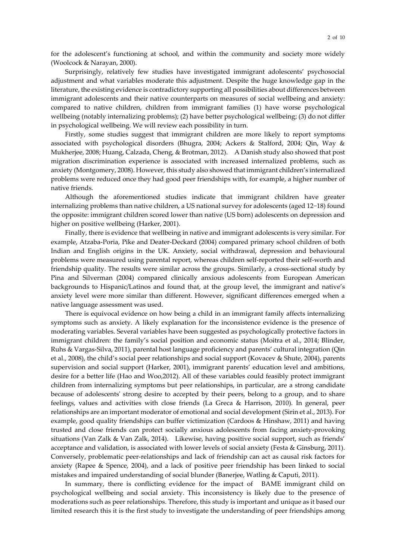for the adolescent's functioning at school, and within the community and society more widely (Woolcock & Narayan, 2000).

Surprisingly, relatively few studies have investigated immigrant adolescents' psychosocial adjustment and what variables moderate this adjustment. Despite the huge knowledge gap in the literature, the existing evidence is contradictory supporting all possibilities about differences between immigrant adolescents and their native counterparts on measures of social wellbeing and anxiety: compared to native children, children from immigrant families (1) have worse psychological wellbeing (notably internalizing problems); (2) have better psychological wellbeing; (3) do not differ in psychological wellbeing. We will review each possibility in turn.

Firstly, some studies suggest that immigrant children are more likely to report symptoms associated with psychological disorders (Bhugra, 2004; Ackers & Stalford, 2004; Qin, Way & Mukherjee, 2008; Huang, Calzada, Cheng, & Brotman, 2012). A Danish study also showed that post migration discrimination experience is associated with increased internalized problems, such as anxiety (Montgomery, 2008). However, this study also showed that immigrant children's internalized problems were reduced once they had good peer friendships with, for example, a higher number of native friends.

Although the aforementioned studies indicate that immigrant children have greater internalizing problems than native children, a US national survey for adolescents (aged 12−18) found the opposite: immigrant children scored lower than native (US born) adolescents on depression and higher on positive wellbeing (Harker, 2001).

Finally, there is evidence that wellbeing in native and immigrant adolescents is very similar. For example, Atzaba-Poria, Pike and Deater-Deckard (2004) compared primary school children of both Indian and English origins in the UK. Anxiety, social withdrawal, depression and behavioural problems were measured using parental report, whereas children self-reported their self-worth and friendship quality. The results were similar across the groups. Similarly, a cross-sectional study by Pina and Silverman (2004) compared clinically anxious adolescents from European American backgrounds to Hispanic/Latinos and found that, at the group level, the immigrant and native's anxiety level were more similar than different. However, significant differences emerged when a native language assessment was used.

There is equivocal evidence on how being a child in an immigrant family affects internalizing symptoms such as anxiety. A likely explanation for the inconsistence evidence is the presence of moderating variables. Several variables have been suggested as psychologically protective factors in immigrant children: the family's social position and economic status (Moitra et al., 2014; Blinder, Ruhs & Vargas-Silva, 2011), parental host language proficiency and parents' cultural integration (Qin et al., 2008), the child's social peer relationships and social support (Kovacev & Shute, 2004), parents supervision and social support (Harker, 2001), immigrant parents' education level and ambitions, desire for a better life (Hao and Woo,2012). All of these variables could feasibly protect immigrant children from internalizing symptoms but peer relationships, in particular, are a strong candidate because of adolescents' strong desire to accepted by their peers, belong to a group, and to share feelings, values and activities with close friends (La Greca & Harrison, 2010). In general, peer relationships are an important moderator of emotional and social development (Sirin et al., 2013). For example, good quality friendships can buffer victimization (Cardoos & Hinshaw, 2011) and having trusted and close friends can protect socially anxious adolescents from facing anxiety-provoking situations (Van Zalk & Van Zalk, 2014). Likewise, having positive social support, such as friends' acceptance and validation, is associated with lower levels of social anxiety (Festa & Ginsburg, 2011). Conversely, problematic peer-relationships and lack of friendship can act as causal risk factors for anxiety (Rapee & Spence, [2004\)](http://onlinelibrary.wiley.com/doi/10.1111/jopy.12108/full#jopy12108-bib-0049), and a lack of positive peer friendship has been linked to social mistakes and impaired understanding of social blunder (Banerjee, Watling & Caputi, 2011).

In summary, there is conflicting evidence for the impact of BAME immigrant child on psychological wellbeing and social anxiety. This inconsistency is likely due to the presence of moderations such as peer relationships. Therefore, this study is important and unique as it based our limited research this it is the first study to investigate the understanding of peer friendships among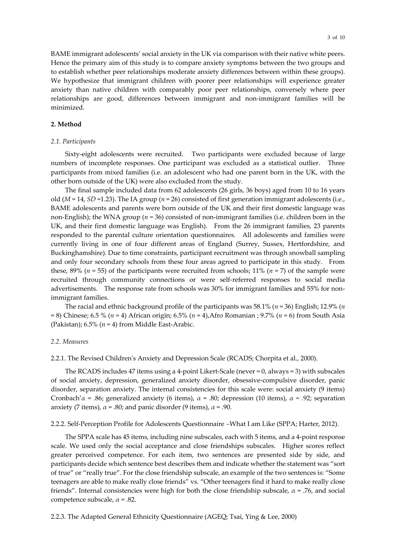BAME immigrant adolescents' social anxiety in the UK via comparison with their native white peers. Hence the primary aim of this study is to compare anxiety symptoms between the two groups and to establish whether peer relationships moderate anxiety differences between within these groups). We hypothesize that immigrant children with poorer peer relationships will experience greater anxiety than native children with comparably poor peer relationships, conversely where peer relationships are good, differences between immigrant and non-immigrant families will be minimized.

#### **2. Method**

#### *2.1. Participants*

Sixty-eight adolescents were recruited. Two participants were excluded because of large numbers of incomplete responses. One participant was excluded as a statistical outlier. Three participants from mixed families (i.e. an adolescent who had one parent born in the UK, with the other born outside of the UK) were also excluded from the study.

The final sample included data from 62 adolescents (26 girls, 36 boys) aged from 10 to 16 years old ( $M = 14$ ,  $SD = 1.23$ ). The IA group ( $n = 26$ ) consisted of first generation immigrant adolescents (i.e., BAME adolescents and parents were born outside of the UK and their first domestic language was non-English); the WNA group (*n* = 36) consisted of non-immigrant families (i.e. children born in the UK, and their first domestic language was English). From the 26 immigrant families, 23 parents responded to the parental culture orientation questionnaires. All adolescents and families were currently living in one of four different areas of England (Surrey, Sussex, Hertfordshire, and Buckinghamshire). Due to time constraints, participant recruitment was through snowball sampling and only four secondary schools from these four areas agreed to participate in this study. From these, 89% (*n* = 55) of the participants were recruited from schools; 11% (*n* = 7) of the sample were recruited through community connections or were self-referred responses to social media advertisements. The response rate from schools was 30% for immigrant families and 55% for nonimmigrant families.

The racial and ethnic background profile of the participants was 58.1% (*n* = 36) English; 12.9% (*n*  = 8) Chinese; 6.5 % (*n* = 4) African origin; 6.5% (*n* = 4),Afro Romanian ; 9.7% (*n* = 6) from South Asia (Pakistan);  $6.5\%$  ( $n = 4$ ) from Middle East-Arabic.

#### *2.2. Measures*

2.2.1. The Revised Children's Anxiety and Depression Scale (RCADS; Chorpita et al., 2000).

The RCADS includes 47 items using a 4-point Likert-Scale (never  $= 0$ , always  $= 3$ ) with subscales of social anxiety, depression, generalized anxiety disorder, obsessive-compulsive disorder, panic disorder, separation anxiety. The internal consistencies for this scale were: social anxiety (9 items) Cronbach'*α* = .86; generalized anxiety (6 items), *α* = .80; depression (10 items), *α = .*92; separation anxiety (7 items),  $\alpha$  = .80; and panic disorder (9 items),  $\alpha$  = .90.

2.2.2. Self-Perception Profile for Adolescents Questionnaire −What I am Like (SPPA; Harter, 2012).

The SPPA scale has 45 items, including nine subscales, each with 5 items, and a 4-point response scale. We used only the social acceptance and close friendships subscales. Higher scores reflect greater perceived competence. For each item, two sentences are presented side by side, and participants decide which sentence best describes them and indicate whether the statement was "sort of true" or "really true". For the close friendship subscale, an example of the two sentences is: "Some teenagers are able to make really close friends" vs. "Other teenagers find it hard to make really close friends". Internal consistencies were high for both the close friendship subscale, *α* = .76, and social competence subscale, *α* = .82.

2.2.3. The Adapted General Ethnicity Questionnaire (AGEQ; Tsai, Ying & Lee, 2000)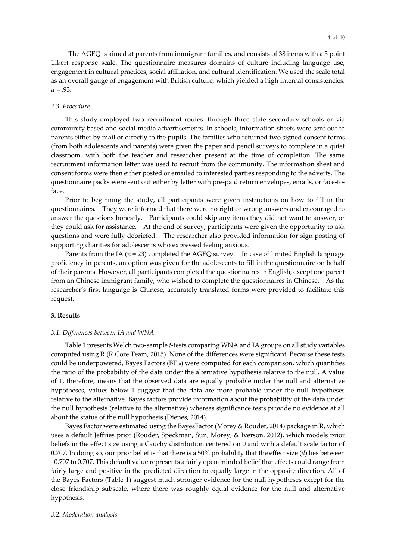The AGEQ is aimed at parents from immigrant families, and consists of 38 items with a 5 point Likert response scale. The questionnaire measures domains of culture including language use, engagement in cultural practices, social affiliation, and cultural identification. We used the scale total as an overall gauge of engagement with British culture, which yielded a high internal consistencies,  $\alpha = .93$ .

#### *2.3. Procedure*

This study employed two recruitment routes: through three state secondary schools or via community based and social media advertisements. In schools, information sheets were sent out to parents either by mail or directly to the pupils. The families who returned two signed consent forms (from both adolescents and parents) were given the paper and pencil surveys to complete in a quiet classroom, with both the teacher and researcher present at the time of completion. The same recruitment information letter was used to recruit from the community. The information sheet and consent forms were then either posted or emailed to interested parties responding to the adverts. The questionnaire packs were sent out either by letter with pre-paid return envelopes, emails, or face-toface.

Prior to beginning the study, all participants were given instructions on how to fill in the questionnaires. They were informed that there were no right or wrong answers and encouraged to answer the questions honestly. Participants could skip any items they did not want to answer, or they could ask for assistance. At the end of survey, participants were given the opportunity to ask questions and were fully debriefed. The researcher also provided information for sign posting of supporting charities for adolescents who expressed feeling anxious.

Parents from the IA ( $n = 23$ ) completed the AGEQ survey. In case of limited English language proficiency in parents, an option was given for the adolescents to fill in the questionnaire on behalf of their parents. However, all participants completed the questionnaires in English, except one parent from an Chinese immigrant family, who wished to complete the questionnaires in Chinese. As the researcher's first language is Chinese, accurately translated forms were provided to facilitate this request.

#### **3. Results**

#### *3.1. Differences between IA and WNA*

Table 1 presents Welch two-sample *t*-tests comparing WNA and IA groups on all study variables computed using R (R Core Team, 2015). None of the differences were significant. Because these tests could be underpowered, Bayes Factors  $(BF_{10})$  were computed for each comparison, which quantifies the ratio of the probability of the data under the alternative hypothesis relative to the null. A value of 1, therefore, means that the observed data are equally probable under the null and alternative hypotheses, values below 1 suggest that the data are more probable under the null hypotheses relative to the alternative. Bayes factors provide information about the probability of the data under the null hypothesis (relative to the alternative) whereas significance tests provide no evidence at all about the status of the null hypothesis (Dienes, 2014).

Bayes Factor were estimated using the BayesFactor (Morey & Rouder, 2014) package in R, which uses a default Jeffries prior (Rouder, Speckman, Sun, Morey, & Iverson, 2012), which models prior beliefs in the effect size using a Cauchy distribution centered on 0 and with a default scale factor of 0.707. In doing so, our prior belief is that there is a 50% probability that the effect size (*d*) lies between −0.707 to 0.707. This default value represents a fairly open-minded belief that effects could range from fairly large and positive in the predicted direction to equally large in the opposite direction. All of the Bayes Factors (Table 1) suggest much stronger evidence for the null hypotheses except for the close friendship subscale, where there was roughly equal evidence for the null and alternative hypothesis.

#### *3.2. Moderation analysis*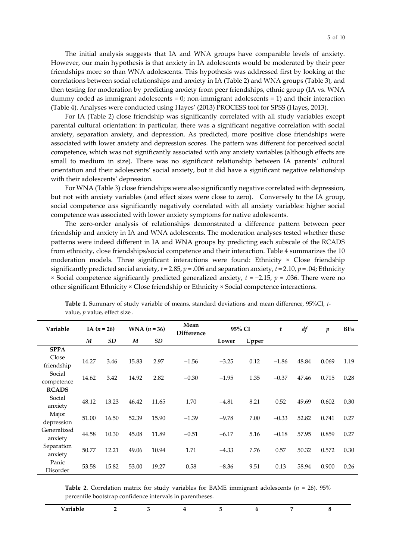The initial analysis suggests that IA and WNA groups have comparable levels of anxiety. However, our main hypothesis is that anxiety in IA adolescents would be moderated by their peer friendships more so than WNA adolescents. This hypothesis was addressed first by looking at the correlations between social relationships and anxiety in IA (Table 2) and WNA groups (Table 3), and then testing for moderation by predicting anxiety from peer friendships, ethnic group (IA vs. WNA dummy coded as immigrant adolescents  $= 0$ ; non-immigrant adolescents  $= 1$ ) and their interaction (Table 4). Analyses were conducted using Hayes' (2013) PROCESS tool for SPSS (Hayes, 2013).

For IA (Table 2) close friendship was significantly correlated with all study variables except parental cultural orientation: in particular, there was a significant negative correlation with social anxiety, separation anxiety, and depression. As predicted, more positive close friendships were associated with lower anxiety and depression scores. The pattern was different for perceived social competence, which was not significantly associated with any anxiety variables (although effects are small to medium in size). There was no significant relationship between IA parents' cultural orientation and their adolescents' social anxiety, but it did have a significant negative relationship with their adolescents' depression.

For WNA (Table 3) close friendships were also significantly negative correlated with depression, but not with anxiety variables (and effect sizes were close to zero). Conversely to the IA group, social competence *was* significantly negatively correlated with all anxiety variables: higher social competence was associated with lower anxiety symptoms for native adolescents.

The zero-order analysis of relationships demonstrated a difference pattern between peer friendship and anxiety in IA and WNA adolescents. The moderation analyses tested whether these patterns were indeed different in IA and WNA groups by predicting each subscale of the RCADS from ethnicity, close friendships/social competence and their interaction. Table 4 summarizes the 10 moderation models. Three significant interactions were found: Ethnicity × Close friendship significantly predicted social anxiety, *t* = 2.85, *p* = .006 and separation anxiety, *t* = 2.10, *p* = .04; Ethnicity × Social competence significantly predicted generalized anxiety, *t* = −2.15, *p* = .036. There were no other significant Ethnicity × Close friendship or Ethnicity × Social competence interactions.

| Variable     | IA $(n = 26)$ |       | <b>WNA</b> $(n = 36)$ |       | Mean<br><b>Difference</b> | 95% CI  |       | t       | df    | $\boldsymbol{p}$ | BF <sub>01</sub> |
|--------------|---------------|-------|-----------------------|-------|---------------------------|---------|-------|---------|-------|------------------|------------------|
|              | M             | SD    | M                     | SD    |                           | Lower   | Upper |         |       |                  |                  |
| <b>SPPA</b>  |               |       |                       |       |                           |         |       |         |       |                  |                  |
| Close        | 14.27         | 3.46  | 15.83                 | 2.97  | $-1.56$                   | $-3.25$ | 0.12  | $-1.86$ | 48.84 | 0.069            | 1.19             |
| friendship   |               |       |                       |       |                           |         |       |         |       |                  |                  |
| Social       | 14.62         | 3.42  | 14.92                 | 2.82  | $-0.30$                   | $-1.95$ | 1.35  | $-0.37$ | 47.46 | 0.715            | 0.28             |
| competence   |               |       |                       |       |                           |         |       |         |       |                  |                  |
| <b>RCADS</b> |               |       |                       |       |                           |         |       |         |       |                  |                  |
| Social       | 48.12         | 13.23 | 46.42                 | 11.65 | 1.70                      | $-4.81$ | 8.21  | 0.52    | 49.69 | 0.602            | 0.30             |
| anxiety      |               |       |                       |       |                           |         |       |         |       |                  |                  |
| Major        | 51.00         | 16.50 | 52.39                 | 15.90 | $-1.39$                   | $-9.78$ | 7.00  | $-0.33$ | 52.82 | 0.741            | 0.27             |
| depression   |               |       |                       |       |                           |         |       |         |       |                  |                  |
| Generalized  | 44.58         | 10.30 | 45.08                 | 11.89 | $-0.51$                   | $-6.17$ | 5.16  | $-0.18$ | 57.95 | 0.859            | 0.27             |
| anxiety      |               |       |                       |       |                           |         |       |         |       |                  |                  |
| Separation   | 50.77         | 12.21 | 49.06                 | 10.94 | 1.71                      | $-4.33$ | 7.76  | 0.57    | 50.32 | 0.572            | 0.30             |
| anxiety      |               |       |                       |       |                           |         |       |         |       |                  |                  |
| Panic        | 53.58         | 15.82 | 53.00                 | 19.27 | 0.58                      | $-8.36$ | 9.51  | 0.13    | 58.94 | 0.900            | 0.26             |
| Disorder     |               |       |                       |       |                           |         |       |         |       |                  |                  |

**Table 1.** Summary of study variable of means, standard deviations and mean difference, 95%CI, *t*value, *p* value, effect size .

**Table 2.** Correlation matrix for study variables for BAME immigrant adolescents ( $n = 26$ ). 95% percentile bootstrap confidence intervals in parentheses.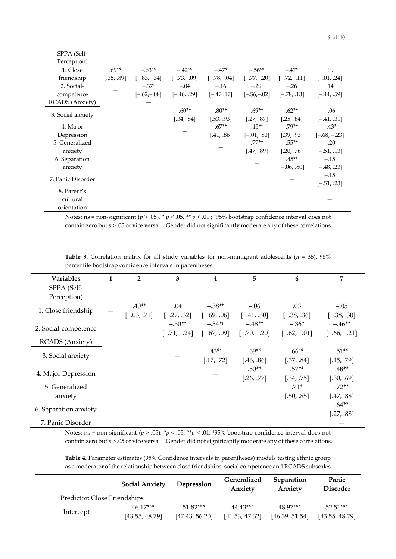|--|--|

| SPPA (Self-            |            |               |               |               |               |               |                 |
|------------------------|------------|---------------|---------------|---------------|---------------|---------------|-----------------|
| Perception)            |            |               |               |               |               |               |                 |
| 1. Close               | $.69**$    | $-.63**$      | $-42**$       | $-.47*$       | $-.56**$      | $-.47*$       | .09             |
| friendship             | [.35, .89] | $[-.83,-.34]$ | $[-.73,-.09]$ | $[-.78,-.04]$ | $[-.77,-.20]$ | $[-.72,-.11]$ | $[-.01, .24]$   |
| 2. Social-             |            | $-.37†$       | $-.04$        | $-.16$        | $-.29^+$      | $-.26$        | .14             |
| competence             |            | $[-.62,-.08]$ | $[-.46, .29]$ | $[-.47, .17]$ | $[-.56,-.02]$ | $[-.78, .13]$ | $[-.44, .59]$   |
| <b>RCADS</b> (Anxiety) |            |               |               |               |               |               |                 |
|                        |            |               | $.60**$       | $.80**$       | $.69**$       | $.62**$       | $-.06$          |
| 3. Social anxiety      |            |               | [.34, .84]    | [.53, .93]    | [.27, .87]    | [.25, .84]    | $[-.41, .31]$   |
| 4. Major               |            |               |               | $.67**$       | $.45**$       | $.79**$       | $-.43*$         |
| Depression             |            |               |               | [.41, .86]    | $[-.01, .80]$ | [.39, .93]    | $[-.68, -0.23]$ |
| 5. Generalized         |            |               |               |               | $.77**$       | $.55**$       | $-.20$          |
| anxiety                |            |               |               |               | [.47, .89]    | [.20, .76]    | $[-.51, .13]$   |
| 6. Separation          |            |               |               |               |               | $.45**$       | $-.15$          |
| anxiety                |            |               |               |               |               | $[-.06, .80]$ | $[-.48, .23]$   |
| 7. Panic Disorder      |            |               |               |               |               |               | $-.15$          |
|                        |            |               |               |               |               |               | $[-.51, .23]$   |
| 8. Parent's            |            |               |               |               |               |               |                 |
| cultural               |            |               |               |               |               |               |                 |
| orientation            |            |               |               |               |               |               |                 |

Notes: ns = non-significant (*p* > .05), \* *p* < .05, \*\* *p* < .01 ; †95% bootstrap confidence interval does not contain zero but  $p > 0.05$  or vice versa. Gender did not significantly moderate any of these correlations.

**Table 3.** Correlation matrix for all study variables for non-immigrant adolescents ( $n = 36$ ). 95% percentile bootstrap confidence intervals in parentheses.

| <b>Variables</b>       | 2             | 3              | 4                    | 5              | 6             | 7              |
|------------------------|---------------|----------------|----------------------|----------------|---------------|----------------|
| SPPA (Self-            |               |                |                      |                |               |                |
| Perception)            |               |                |                      |                |               |                |
| 1. Close friendship    | $.40**$       | .04            | $-.38$ <sup>*+</sup> | $-.06$         | .03           | $-.05$         |
|                        | $[-.03, .71]$ | $[-.27, .32]$  | $[-.69, .06]$        | $[-.41, .30]$  | $[-.38, .36]$ | $[-.38, .30]$  |
| 2. Social-competence   |               | $-.50**$       | $-.34$ <sup>*+</sup> | $-.48**$       | $-.36*$       | $-.46**$       |
|                        |               | $[-.71, -.24]$ | $[-.67, .09]$        | $[-.70, -.20]$ | $[-.62, -01]$ | $[-.66, -.21]$ |
| <b>RCADS</b> (Anxiety) |               |                |                      |                |               |                |
| 3. Social anxiety      |               |                | $.43**$              | $.69**$        | $.66**$       | $.51**$        |
|                        |               |                | [.17, .72]           | [.46, .86]     | [.37, .84]    | [.15, .79]     |
| 4. Major Depression    |               |                |                      | $.50**$        | $.57**$       | $.48**$        |
|                        |               |                |                      | [.26, .77]     | [.34, .75]    | [.30, .69]     |
| 5. Generalized         |               |                |                      |                | $.71*$        | $.72**$        |
| anxiety                |               |                |                      |                | [.50, .85]    | [.47, .88]     |
| 6. Separation anxiety  |               |                |                      |                |               | $.64**$        |
|                        |               |                |                      |                |               | [.27, .88]     |
| 7. Panic Disorder      |               |                |                      |                |               |                |

Notes: ns = non-significant (*p* > .05), \**p* < .05, \*\**p* < .01. †95% bootstrap confidence interval does not contain zero but *p* > .05 or vice versa. Gender did not significantly moderate any of these correlations.

**Table 4.** Parameter estimates (95% Confidence intervals in parentheses) models testing ethnic group as a moderator of the relationship between close friendships, social competence and RCADS subscales.

|                              | <b>Social Anxiety</b>        | Depression                   | Generalized<br>Anxiety     | <b>Separation</b><br>Anxiety | Panic<br><b>Disorder</b>     |  |
|------------------------------|------------------------------|------------------------------|----------------------------|------------------------------|------------------------------|--|
| Predictor: Close Friendships |                              |                              |                            |                              |                              |  |
| Intercept                    | $46.17***$<br>[43.55, 48.79] | $51.82***$<br>[47.43, 56.20] | 44.43***<br>[41.53, 47.32] | 48.97***<br>[46.39, 51.54]   | $52.51***$<br>[43.55, 48.79] |  |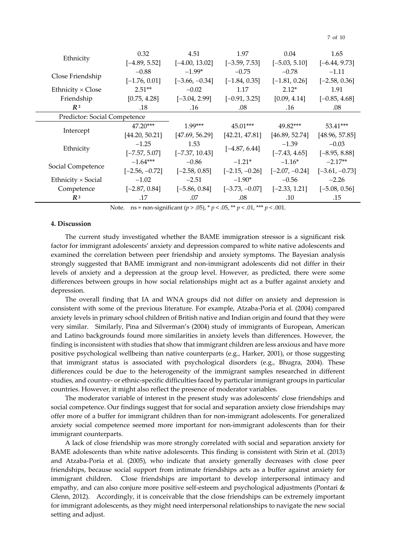|                              | 0.32             | 4.51             | 1.97             | 0.04             | 1.65             |  |  |
|------------------------------|------------------|------------------|------------------|------------------|------------------|--|--|
| Ethnicity                    | $[-4.89, 5.52]$  | $[-4.00, 13.02]$ | $[-3.59, 7.53]$  | $[-5.03, 5.10]$  | $[-6.44, 9.73]$  |  |  |
|                              | $-0.88$          | $-1.99*$         | $-0.75$          | $-0.78$          | $-1.11$          |  |  |
| Close Friendship             | $[-1.76, 0.01]$  | $[-3.66, -0.34]$ | $[-1.84, 0.35]$  | $[-1.81, 0.26]$  | $[-2.58, 0.36]$  |  |  |
| Ethnicity $\times$ Close     | $2.51**$         | $-0.02$          | 1.17             | $2.12*$          | 1.91             |  |  |
| Friendship                   | [0.75, 4.28]     | $[-3.04, 2.99]$  | $[-0.91, 3.25]$  | [0.09, 4.14]     | $[-0.85, 4.68]$  |  |  |
| $R^2$                        | .18              | .16              | .08              | .16              | .08              |  |  |
| Predictor: Social Competence |                  |                  |                  |                  |                  |  |  |
|                              | $47.20***$       | $1.99***$        | $45.01***$       | 49.82***         | $53.41***$       |  |  |
| Intercept                    | [44.20, 50.21]   | [47.69, 56.29]   | [42.21, 47.81]   | [46.89, 52.74]   | [48.96, 57.85]   |  |  |
| Ethnicity                    | $-1.25$          | 1.53             | $[-4.87, 6.44]$  | $-1.39$          | $-0.03$          |  |  |
|                              | $[-7.57, 5.07]$  | $[-7.37, 10.43]$ |                  | $[-7.43, 4.65]$  | $[-8.95, 8.88]$  |  |  |
| Social Competence            | $-1.64***$       | $-0.86$          | $-1.21*$         | $-1.16*$         | $-2.17**$        |  |  |
|                              | $[-2.56, -0.72]$ | $[-2.58, 0.85]$  | $[-2.15, -0.26]$ | $[-2.07, -0.24]$ | $[-3.61, -0.73]$ |  |  |
| Ethnicity $\times$ Social    | $-1.02$          | $-2.51$          | $-1.90*$         | $-0.56$          | $-2.26$          |  |  |
| Competence                   | $[-2.87, 0.84]$  | $[-5.86, 0.84]$  | $[-3.73, -0.07]$ | $[-2.33, 1.21]$  | $[-5.08, 0.56]$  |  |  |
| R <sup>2</sup>               | .17              | .07              | .08              | .10              | .15              |  |  |

7 of 10

Note. ns = non-significant (*p* > .05), \* *p* < .05, \*\* *p* < .01, \*\*\* *p* < .001.

### **4. Discussion**

The current study investigated whether the BAME immigration stressor is a significant risk factor for immigrant adolescents' anxiety and depression compared to white native adolescents and examined the correlation between peer friendship and anxiety symptoms. The Bayesian analysis strongly suggested that BAME immigrant and non-immigrant adolescents did not differ in their levels of anxiety and a depression at the group level. However, as predicted, there were some differences between groups in how social relationships might act as a buffer against anxiety and depression.

The overall finding that IA and WNA groups did not differ on anxiety and depression is consistent with some of the previous literature. For example, Atzaba-Poria et al. (2004) compared anxiety levels in primary school children of British native and Indian origin and found that they were very similar. Similarly, Pina and Silverman's (2004) study of immigrants of European, American and Latino backgrounds found more similarities in anxiety levels than differences. However, the finding is inconsistent with studies that show that immigrant children are less anxious and have more positive psychological wellbeing than native counterparts (e.g., Harker, 2001), or those suggesting that immigrant status is associated with psychological disorders (e.g., Bhugra, 2004). These differences could be due to the heterogeneity of the immigrant samples researched in different studies, and country- or ethnic-specific difficulties faced by particular immigrant groups in particular countries. However, it might also reflect the presence of moderator variables.

The moderator variable of interest in the present study was adolescents' close friendships and social competence. Our findings suggest that for social and separation anxiety close friendships may offer more of a buffer for immigrant children than for non-immigrant adolescents. For generalized anxiety social competence seemed more important for non-immigrant adolescents than for their immigrant counterparts.

A lack of close friendship was more strongly correlated with social and separation anxiety for BAME adolescents than white native adolescents. This finding is consistent with Sirin et al. (2013) and Atzaba-Poria et al. (2005), who indicate that anxiety generally decreases with close peer friendships, because social support from intimate friendships acts as a buffer against anxiety for immigrant children. Close friendships are important to develop interpersonal intimacy and empathy, and can also conjure more positive self-esteem and psychological adjustments (Pontari & Glenn, [2012](http://onlinelibrary.wiley.com/doi/10.1111/jopy.12108/full#jopy12108-bib-0047)). Accordingly, it is conceivable that the close friendships can be extremely important for immigrant adolescents, as they might need interpersonal relationships to navigate the new social setting and adjust.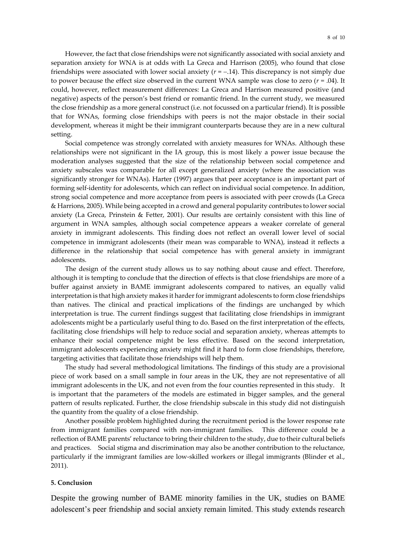However, the fact that close friendships were not significantly associated with social anxiety and separation anxiety for WNA is at odds with La Greca and Harrison (2005), who found that close friendships were associated with lower social anxiety (*r* = −.14). This discrepancy is not simply due to power because the effect size observed in the current WNA sample was close to zero  $(r = .04)$ . It could, however, reflect measurement differences: La Greca and Harrison measured positive (and negative) aspects of the person's best friend or romantic friend. In the current study, we measured the close friendship as a more general construct (i.e. not focussed on a particular friend). It is possible that for WNAs, forming close friendships with peers is not the major obstacle in their social development, whereas it might be their immigrant counterparts because they are in a new cultural setting.

Social competence was strongly correlated with anxiety measures for WNAs. Although these relationships were not significant in the IA group, this is most likely a power issue because the moderation analyses suggested that the size of the relationship between social competence and anxiety subscales was comparable for all except generalized anxiety (where the association was significantly stronger for WNAs). Harter (1997) argues that peer acceptance is an important part of forming self-identity for adolescents, which can reflect on individual social competence. In addition, strong social competence and more acceptance from peers is associated with peer crowds (La Greca & Harrions, 2005). While being accepted in a crowd and general popularity contributes to lower social anxiety (La Greca, Prinstein & Fetter, 2001). Our results are certainly consistent with this line of argument in WNA samples, although social competence appears a weaker correlate of general anxiety in immigrant adolescents. This finding does not reflect an overall lower level of social competence in immigrant adolescents (their mean was comparable to WNA), instead it reflects a difference in the relationship that social competence has with general anxiety in immigrant adolescents.

The design of the current study allows us to say nothing about cause and effect. Therefore, although it is tempting to conclude that the direction of effects is that close friendships are more of a buffer against anxiety in BAME immigrant adolescents compared to natives, an equally valid interpretation is that high anxiety makes it harder for immigrant adolescents to form close friendships than natives. The clinical and practical implications of the findings are unchanged by which interpretation is true. The current findings suggest that facilitating close friendships in immigrant adolescents might be a particularly useful thing to do. Based on the first interpretation of the effects, facilitating close friendships will help to reduce social and separation anxiety, whereas attempts to enhance their social competence might be less effective. Based on the second interpretation, immigrant adolescents experiencing anxiety might find it hard to form close friendships, therefore, targeting activities that facilitate those friendships will help them.

The study had several methodological limitations. The findings of this study are a provisional piece of work based on a small sample in four areas in the UK, they are not representative of all immigrant adolescents in the UK, and not even from the four counties represented in this study. It is important that the parameters of the models are estimated in bigger samples, and the general pattern of results replicated. Further, the close friendship subscale in this study did not distinguish the quantity from the quality of a close friendship.

Another possible problem highlighted during the recruitment period is the lower response rate from immigrant families compared with non-immigrant families. This difference could be a reflection of BAME parents' reluctance to bring their children to the study, due to their cultural beliefs and practices. Social stigma and discrimination may also be another contribution to the reluctance, particularly if the immigrant families are low-skilled workers or illegal immigrants (Blinder et al., 2011).

#### **5. Conclusion**

Despite the growing number of BAME minority families in the UK, studies on BAME adolescent's peer friendship and social anxiety remain limited. This study extends research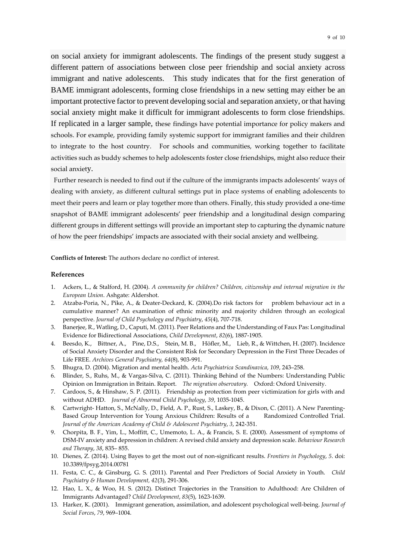on social anxiety for immigrant adolescents. The findings of the present study suggest a different pattern of associations between close peer friendship and social anxiety across immigrant and native adolescents. This study indicates that for the first generation of BAME immigrant adolescents, forming close friendships in a new setting may either be an important protective factor to prevent developing social and separation anxiety, or that having social anxiety might make it difficult for immigrant adolescents to form close friendships. If replicated in a larger sample, these findings have potential importance for policy makers and schools. For example, providing family systemic support for immigrant families and their children to integrate to the host country. For schools and communities, working together to facilitate activities such as buddy schemes to help adolescents foster close friendships, might also reduce their social anxiety.

Further research is needed to find out if the culture of the immigrants impacts adolescents' ways of dealing with anxiety, as different cultural settings put in place systems of enabling adolescents to meet their peers and learn or play together more than others. Finally, this study provided a one-time snapshot of BAME immigrant adolescents' peer friendship and a longitudinal design comparing different groups in different settings will provide an important step to capturing the dynamic nature of how the peer friendships' impacts are associated with their social anxiety and wellbeing.

**Conflicts of Interest:** The authors declare no conflict of interest.

#### **References**

- 1. Ackers, L., & Stalford, H. (2004). *A community for children? Children, citizenship and internal migration in the European Union*. Ashgate: Aldershot.
- 2. Atzaba-Poria, N., Pike, A., & Deater-Deckard, K. (2004).Do risk factors for problem behaviour act in a cumulative manner? An examination of ethnic minority and majority children through an ecological perspective. *Journal of Child Psychology and Psychiatry*, *45*(4), 707-718.
- 3. Banerjee, R., Watling, D., Caputi, M. (2011). Peer Relations and the Understanding of Faux Pas: Longitudinal Evidence for Bidirectional Associations, *Child Development*, *82*(6), 1887-1905.
- 4. Beesdo, K., Bittner, A., Pine, D.S., Stein, M. B., Höfler, M., Lieb, R., & Wittchen, H. (2007). Incidence of Social Anxiety Disorder and the Consistent Risk for Secondary Depression in the First Three Decades of Life FREE. *Archives General Psychiatry, 64*(8), 903-991.
- 5. Bhugra, D. (2004). Migration and mental health. *Acta Psychiatrica Scandinavica*, *109*, 243–258.
- 6. Blinder, S., Ruhs, M., & Vargas-Silva, C. (2011). Thinking Behind of the Numbers: Understanding Public Opinion on Immigration in Britain. Report. *The migration observatory.* Oxford: Oxford University.
- 7. Cardoos, S., & Hinshaw, S. P. (2011). Friendship as protection from peer victimization for girls with and without ADHD. *Journal of Abnormal Child Psychology*, *39*, 1035-1045.
- 8. Cartwright- Hatton, S., McNally, D., Field, A. P., Rust, S., Laskey, B., & Dixon, C. (2011). A New Parenting-Based Group Intervention for Young Anxious Children: Results of a Randomized Controlled Trial*. Journal of the American Academy of Child & Adolescent Psychiatry*, *3*, 242-351.
- 9. Chorpita, B. F., Yim, L., Moffitt, C., Umemoto, L. A., & Francis, S. E. (2000). Assessment of symptoms of DSM-IV anxiety and depression in children: A revised child anxiety and depression scale. *Behaviour Research and Therapy*, *38*, 835– 855.
- 10. Dienes, Z. (2014). Using Bayes to get the most out of non-significant results. *Frontiers in Psychology*, *5*. doi: 10.3389/fpsyg.2014.00781
- 11. Festa, C. C., & Ginsburg, G. S. (2011). Parental and Peer Predictors of Social Anxiety in Youth. *Child Psychiatry & Human Development, 42*(3), 291-306.
- 12. Hao, L. X., & Woo, H. S. (2012). Distinct Trajectories in the Transition to Adulthood: Are Children of Immigrants Advantaged? *Child Development*, *83*(5), 1623-1639.
- 13. Harker, K. (2001). Immigrant generation, assimilation, and adolescent psychological well-being. *Journal of Social Forces*, *79*, 969–1004.